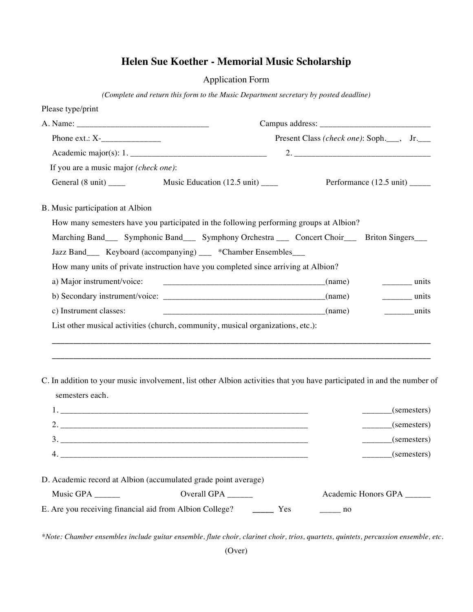## **Helen Sue Koether - Memorial Music Scholarship**

Application Form

*(Complete and return this form to the Music Department secretary by posted deadline)*

| Please type/print                                                                                                                         |                                              |             |                                                                                                                                                                                                                                                                                                                                                                                                                      |  |
|-------------------------------------------------------------------------------------------------------------------------------------------|----------------------------------------------|-------------|----------------------------------------------------------------------------------------------------------------------------------------------------------------------------------------------------------------------------------------------------------------------------------------------------------------------------------------------------------------------------------------------------------------------|--|
|                                                                                                                                           |                                              |             |                                                                                                                                                                                                                                                                                                                                                                                                                      |  |
|                                                                                                                                           | Present Class (check one): Soph.___, Jr.___  |             |                                                                                                                                                                                                                                                                                                                                                                                                                      |  |
|                                                                                                                                           |                                              |             |                                                                                                                                                                                                                                                                                                                                                                                                                      |  |
| If you are a music major (check one):                                                                                                     |                                              |             |                                                                                                                                                                                                                                                                                                                                                                                                                      |  |
|                                                                                                                                           | Music Education $(12.5 \text{ unit})$ ______ |             | Performance (12.5 unit) ______                                                                                                                                                                                                                                                                                                                                                                                       |  |
| B. Music participation at Albion                                                                                                          |                                              |             |                                                                                                                                                                                                                                                                                                                                                                                                                      |  |
| How many semesters have you participated in the following performing groups at Albion?                                                    |                                              |             |                                                                                                                                                                                                                                                                                                                                                                                                                      |  |
| Marching Band____ Symphonic Band____ Symphony Orchestra ____ Concert Choir____ Briton Singers___                                          |                                              |             |                                                                                                                                                                                                                                                                                                                                                                                                                      |  |
| Jazz Band___ Keyboard (accompanying) __ *Chamber Ensembles___                                                                             |                                              |             |                                                                                                                                                                                                                                                                                                                                                                                                                      |  |
| How many units of private instruction have you completed since arriving at Albion?                                                        |                                              |             |                                                                                                                                                                                                                                                                                                                                                                                                                      |  |
| a) Major instrument/voice:                                                                                                                | $\overline{\phantom{a}}$ (name)              |             | $\frac{1}{\sqrt{1-\frac{1}{2}}\sqrt{1-\frac{1}{2}}\sqrt{1-\frac{1}{2}}\sqrt{1-\frac{1}{2}}\sqrt{1-\frac{1}{2}}\sqrt{1-\frac{1}{2}}\sqrt{1-\frac{1}{2}}\sqrt{1-\frac{1}{2}}\sqrt{1-\frac{1}{2}}\sqrt{1-\frac{1}{2}}\sqrt{1-\frac{1}{2}}\sqrt{1-\frac{1}{2}}\sqrt{1-\frac{1}{2}}\sqrt{1-\frac{1}{2}}\sqrt{1-\frac{1}{2}}\sqrt{1-\frac{1}{2}}\sqrt{1-\frac{1}{2}}\sqrt{1-\frac{1}{2}}\sqrt{1-\frac{1}{2}}\sqrt{1-\frac$ |  |
|                                                                                                                                           |                                              |             | $\frac{1}{2}$ units                                                                                                                                                                                                                                                                                                                                                                                                  |  |
| c) Instrument classes:                                                                                                                    | $\frac{1}{2}$ (name)                         |             | $\frac{1}{2}$ units                                                                                                                                                                                                                                                                                                                                                                                                  |  |
| List other musical activities (church, community, musical organizations, etc.):                                                           |                                              |             |                                                                                                                                                                                                                                                                                                                                                                                                                      |  |
|                                                                                                                                           |                                              |             |                                                                                                                                                                                                                                                                                                                                                                                                                      |  |
|                                                                                                                                           |                                              |             |                                                                                                                                                                                                                                                                                                                                                                                                                      |  |
| C. In addition to your music involvement, list other Albion activities that you have participated in and the number of<br>semesters each. |                                              |             |                                                                                                                                                                                                                                                                                                                                                                                                                      |  |
|                                                                                                                                           |                                              |             | $\frac{\ }{}$ (semesters)                                                                                                                                                                                                                                                                                                                                                                                            |  |
|                                                                                                                                           |                                              |             | (semesters)                                                                                                                                                                                                                                                                                                                                                                                                          |  |
|                                                                                                                                           |                                              |             | $\frac{\ }{\ }$ (semesters)                                                                                                                                                                                                                                                                                                                                                                                          |  |
| 4.                                                                                                                                        |                                              |             | (semesters)                                                                                                                                                                                                                                                                                                                                                                                                          |  |
| D. Academic record at Albion (accumulated grade point average)                                                                            |                                              |             |                                                                                                                                                                                                                                                                                                                                                                                                                      |  |
| Music GPA $\_\_\_\_\_\_\_\_\_\_\_\$                                                                                                       | Overall GPA ______                           |             | Academic Honors GPA ______                                                                                                                                                                                                                                                                                                                                                                                           |  |
| E. Are you receiving financial aid from Albion College?                                                                                   | Yes                                          | $\equiv$ no |                                                                                                                                                                                                                                                                                                                                                                                                                      |  |

*\*Note: Chamber ensembles include guitar ensemble, flute choir, clarinet choir, trios, quartets, quintets, percussion ensemble, etc.*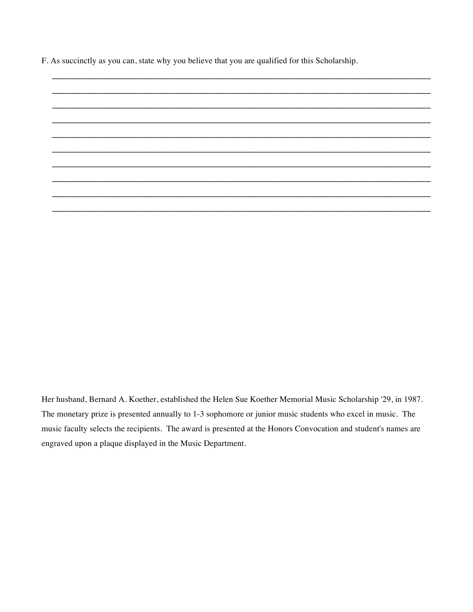F. As succinctly as you can, state why you believe that you are qualified for this Scholarship.

Her husband, Bernard A. Koether, established the Helen Sue Koether Memorial Music Scholarship '29, in 1987. The monetary prize is presented annually to 1-3 sophomore or junior music students who excel in music. The music faculty selects the recipients. The award is presented at the Honors Convocation and student's names are engraved upon a plaque displayed in the Music Department.